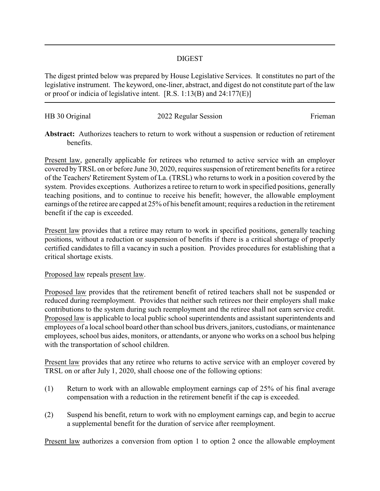## DIGEST

The digest printed below was prepared by House Legislative Services. It constitutes no part of the legislative instrument. The keyword, one-liner, abstract, and digest do not constitute part of the law or proof or indicia of legislative intent. [R.S. 1:13(B) and 24:177(E)]

| HB 30 Original | 2022 Regular Session | Frieman |
|----------------|----------------------|---------|
|                |                      |         |

**Abstract:** Authorizes teachers to return to work without a suspension or reduction of retirement benefits.

Present law, generally applicable for retirees who returned to active service with an employer covered byTRSL on or before June 30, 2020, requires suspension of retirement benefits for a retiree of the Teachers' Retirement System of La. (TRSL) who returns to work in a position covered by the system. Provides exceptions. Authorizes a retiree to return to work in specified positions, generally teaching positions, and to continue to receive his benefit; however, the allowable employment earnings of the retiree are capped at 25% of his benefit amount; requires a reduction in the retirement benefit if the cap is exceeded.

Present law provides that a retiree may return to work in specified positions, generally teaching positions, without a reduction or suspension of benefits if there is a critical shortage of properly certified candidates to fill a vacancy in such a position. Provides procedures for establishing that a critical shortage exists.

## Proposed law repeals present law.

Proposed law provides that the retirement benefit of retired teachers shall not be suspended or reduced during reemployment. Provides that neither such retirees nor their employers shall make contributions to the system during such reemployment and the retiree shall not earn service credit. Proposed law is applicable to local public school superintendents and assistant superintendents and employees of a local school board other than school bus drivers, janitors, custodians, or maintenance employees, school bus aides, monitors, or attendants, or anyone who works on a school bus helping with the transportation of school children.

Present law provides that any retiree who returns to active service with an employer covered by TRSL on or after July 1, 2020, shall choose one of the following options:

- (1) Return to work with an allowable employment earnings cap of 25% of his final average compensation with a reduction in the retirement benefit if the cap is exceeded.
- (2) Suspend his benefit, return to work with no employment earnings cap, and begin to accrue a supplemental benefit for the duration of service after reemployment.

Present law authorizes a conversion from option 1 to option 2 once the allowable employment